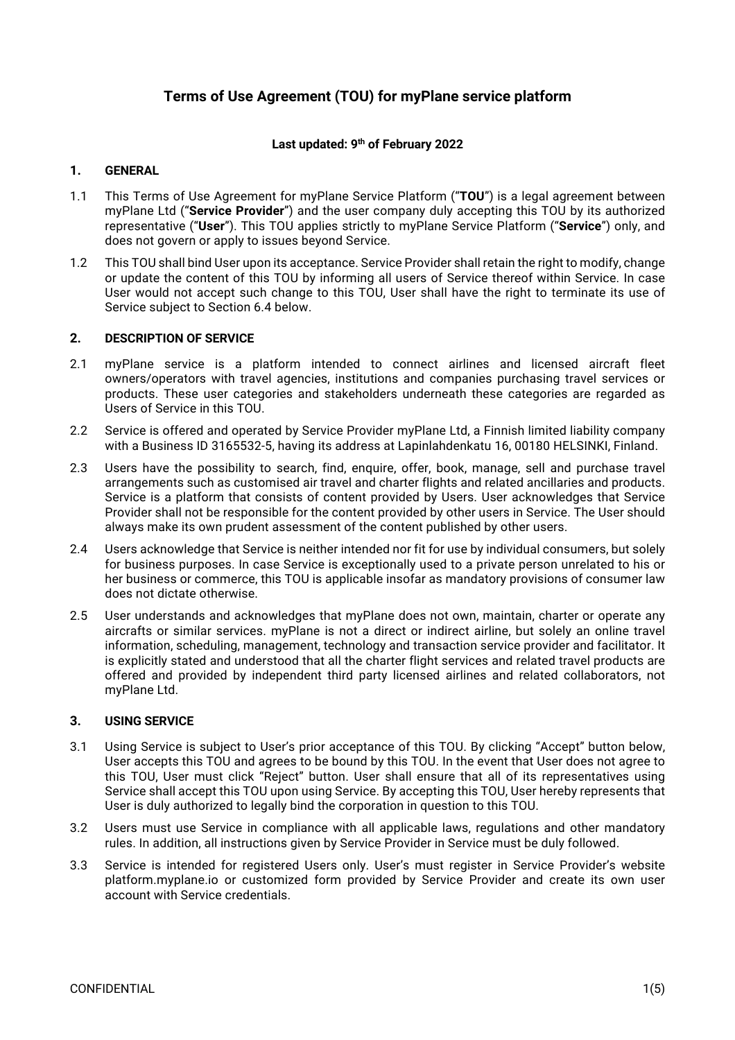# **Terms of Use Agreement (TOU) for myPlane service platform**

## **Last updated: 9th of February 2022**

## **1. GENERAL**

- 1.1 This Terms of Use Agreement for myPlane Service Platform ("**TOU**") is a legal agreement between myPlane Ltd ("**Service Provider**") and the user company duly accepting this TOU by its authorized representative ("**User**"). This TOU applies strictly to myPlane Service Platform ("**Service**") only, and does not govern or apply to issues beyond Service.
- 1.2 This TOU shall bind User upon its acceptance. Service Provider shall retain the right to modify, change or update the content of this TOU by informing all users of Service thereof within Service. In case User would not accept such change to this TOU, User shall have the right to terminate its use of Service subject to Section 6.4 below.

## **2. DESCRIPTION OF SERVICE**

- 2.1 myPlane service is a platform intended to connect airlines and licensed aircraft fleet owners/operators with travel agencies, institutions and companies purchasing travel services or products. These user categories and stakeholders underneath these categories are regarded as Users of Service in this TOU.
- 2.2 Service is offered and operated by Service Provider myPlane Ltd, a Finnish limited liability company with a Business ID 3165532-5, having its address at Lapinlahdenkatu 16, 00180 HELSINKI, Finland.
- 2.3 Users have the possibility to search, find, enquire, offer, book, manage, sell and purchase travel arrangements such as customised air travel and charter flights and related ancillaries and products. Service is a platform that consists of content provided by Users. User acknowledges that Service Provider shall not be responsible for the content provided by other users in Service. The User should always make its own prudent assessment of the content published by other users.
- 2.4 Users acknowledge that Service is neither intended nor fit for use by individual consumers, but solely for business purposes. In case Service is exceptionally used to a private person unrelated to his or her business or commerce, this TOU is applicable insofar as mandatory provisions of consumer law does not dictate otherwise.
- 2.5 User understands and acknowledges that myPlane does not own, maintain, charter or operate any aircrafts or similar services. myPlane is not a direct or indirect airline, but solely an online travel information, scheduling, management, technology and transaction service provider and facilitator. It is explicitly stated and understood that all the charter flight services and related travel products are offered and provided by independent third party licensed airlines and related collaborators, not myPlane Ltd.

## **3. USING SERVICE**

- 3.1 Using Service is subject to User's prior acceptance of this TOU. By clicking "Accept" button below, User accepts this TOU and agrees to be bound by this TOU. In the event that User does not agree to this TOU, User must click "Reject" button. User shall ensure that all of its representatives using Service shall accept this TOU upon using Service. By accepting this TOU, User hereby represents that User is duly authorized to legally bind the corporation in question to this TOU.
- 3.2 Users must use Service in compliance with all applicable laws, regulations and other mandatory rules. In addition, all instructions given by Service Provider in Service must be duly followed.
- 3.3 Service is intended for registered Users only. User's must register in Service Provider's website platform.myplane.io or customized form provided by Service Provider and create its own user account with Service credentials.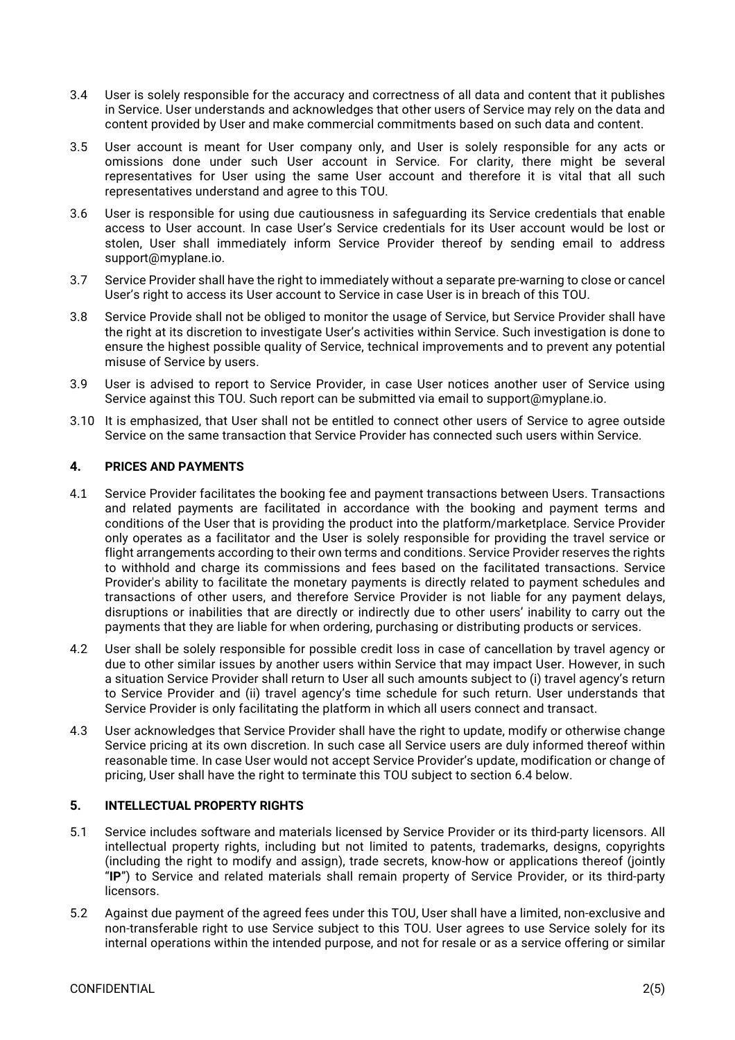- 3.4 User is solely responsible for the accuracy and correctness of all data and content that it publishes in Service. User understands and acknowledges that other users of Service may rely on the data and content provided by User and make commercial commitments based on such data and content.
- 3.5 User account is meant for User company only, and User is solely responsible for any acts or omissions done under such User account in Service. For clarity, there might be several representatives for User using the same User account and therefore it is vital that all such representatives understand and agree to this TOU.
- 3.6 User is responsible for using due cautiousness in safeguarding its Service credentials that enable access to User account. In case User's Service credentials for its User account would be lost or stolen, User shall immediately inform Service Provider thereof by sending email to address support@myplane.io.
- 3.7 Service Provider shall have the right to immediately without a separate pre-warning to close or cancel User's right to access its User account to Service in case User is in breach of this TOU.
- 3.8 Service Provide shall not be obliged to monitor the usage of Service, but Service Provider shall have the right at its discretion to investigate User's activities within Service. Such investigation is done to ensure the highest possible quality of Service, technical improvements and to prevent any potential misuse of Service by users.
- 3.9 User is advised to report to Service Provider, in case User notices another user of Service using Service against this TOU. Such report can be submitted via email to support@myplane.io.
- 3.10 It is emphasized, that User shall not be entitled to connect other users of Service to agree outside Service on the same transaction that Service Provider has connected such users within Service.

## **4. PRICES AND PAYMENTS**

- 4.1 Service Provider facilitates the booking fee and payment transactions between Users. Transactions and related payments are facilitated in accordance with the booking and payment terms and conditions of the User that is providing the product into the platform/marketplace. Service Provider only operates as a facilitator and the User is solely responsible for providing the travel service or flight arrangements according to their own terms and conditions. Service Provider reserves the rights to withhold and charge its commissions and fees based on the facilitated transactions. Service Provider's ability to facilitate the monetary payments is directly related to payment schedules and transactions of other users, and therefore Service Provider is not liable for any payment delays, disruptions or inabilities that are directly or indirectly due to other users' inability to carry out the payments that they are liable for when ordering, purchasing or distributing products or services.
- 4.2 User shall be solely responsible for possible credit loss in case of cancellation by travel agency or due to other similar issues by another users within Service that may impact User. However, in such a situation Service Provider shall return to User all such amounts subject to (i) travel agency's return to Service Provider and (ii) travel agency's time schedule for such return. User understands that Service Provider is only facilitating the platform in which all users connect and transact.
- 4.3 User acknowledges that Service Provider shall have the right to update, modify or otherwise change Service pricing at its own discretion. In such case all Service users are duly informed thereof within reasonable time. In case User would not accept Service Provider's update, modification or change of pricing, User shall have the right to terminate this TOU subject to section 6.4 below.

## **5. INTELLECTUAL PROPERTY RIGHTS**

- 5.1 Service includes software and materials licensed by Service Provider or its third-party licensors. All intellectual property rights, including but not limited to patents, trademarks, designs, copyrights (including the right to modify and assign), trade secrets, know-how or applications thereof (jointly "**IP**") to Service and related materials shall remain property of Service Provider, or its third-party licensors.
- 5.2 Against due payment of the agreed fees under this TOU, User shall have a limited, non-exclusive and non-transferable right to use Service subject to this TOU. User agrees to use Service solely for its internal operations within the intended purpose, and not for resale or as a service offering or similar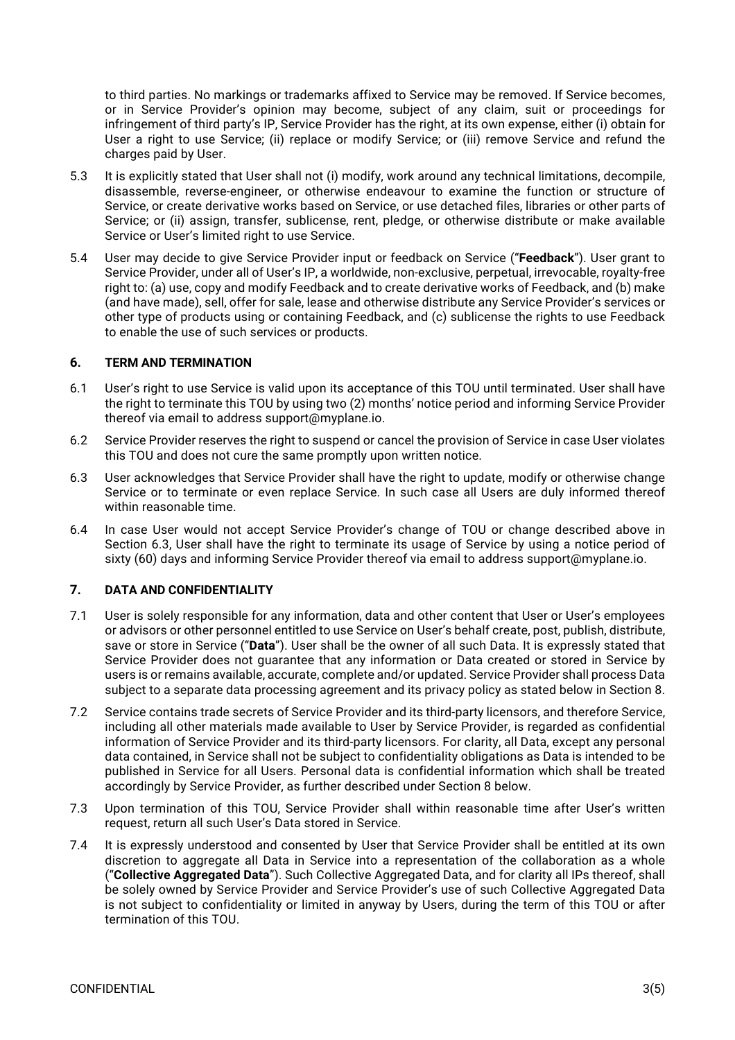to third parties. No markings or trademarks affixed to Service may be removed. If Service becomes, or in Service Provider's opinion may become, subject of any claim, suit or proceedings for infringement of third party's IP, Service Provider has the right, at its own expense, either (i) obtain for User a right to use Service; (ii) replace or modify Service; or (iii) remove Service and refund the charges paid by User.

- 5.3 It is explicitly stated that User shall not (i) modify, work around any technical limitations, decompile, disassemble, reverse-engineer, or otherwise endeavour to examine the function or structure of Service, or create derivative works based on Service, or use detached files, libraries or other parts of Service; or (ii) assign, transfer, sublicense, rent, pledge, or otherwise distribute or make available Service or User's limited right to use Service.
- 5.4 User may decide to give Service Provider input or feedback on Service ("**Feedback**"). User grant to Service Provider, under all of User's IP, a worldwide, non-exclusive, perpetual, irrevocable, royalty-free right to: (a) use, copy and modify Feedback and to create derivative works of Feedback, and (b) make (and have made), sell, offer for sale, lease and otherwise distribute any Service Provider's services or other type of products using or containing Feedback, and (c) sublicense the rights to use Feedback to enable the use of such services or products.

## **6. TERM AND TERMINATION**

- 6.1 User's right to use Service is valid upon its acceptance of this TOU until terminated. User shall have the right to terminate this TOU by using two (2) months' notice period and informing Service Provider thereof via email to address support@myplane.io.
- 6.2 Service Provider reserves the right to suspend or cancel the provision of Service in case User violates this TOU and does not cure the same promptly upon written notice.
- 6.3 User acknowledges that Service Provider shall have the right to update, modify or otherwise change Service or to terminate or even replace Service. In such case all Users are duly informed thereof within reasonable time.
- 6.4 In case User would not accept Service Provider's change of TOU or change described above in Section 6.3, User shall have the right to terminate its usage of Service by using a notice period of sixty (60) days and informing Service Provider thereof via email to address support@myplane.io.

## **7. DATA AND CONFIDENTIALITY**

- 7.1 User is solely responsible for any information, data and other content that User or User's employees or advisors or other personnel entitled to use Service on User's behalf create, post, publish, distribute, save or store in Service ("**Data**"). User shall be the owner of all such Data. It is expressly stated that Service Provider does not guarantee that any information or Data created or stored in Service by users is or remains available, accurate, complete and/or updated. Service Provider shall process Data subject to a separate data processing agreement and its privacy policy as stated below in Section 8.
- 7.2 Service contains trade secrets of Service Provider and its third-party licensors, and therefore Service, including all other materials made available to User by Service Provider, is regarded as confidential information of Service Provider and its third-party licensors. For clarity, all Data, except any personal data contained, in Service shall not be subject to confidentiality obligations as Data is intended to be published in Service for all Users. Personal data is confidential information which shall be treated accordingly by Service Provider, as further described under Section 8 below.
- 7.3 Upon termination of this TOU, Service Provider shall within reasonable time after User's written request, return all such User's Data stored in Service.
- 7.4 It is expressly understood and consented by User that Service Provider shall be entitled at its own discretion to aggregate all Data in Service into a representation of the collaboration as a whole ("**Collective Aggregated Data**"). Such Collective Aggregated Data, and for clarity all IPs thereof, shall be solely owned by Service Provider and Service Provider's use of such Collective Aggregated Data is not subject to confidentiality or limited in anyway by Users, during the term of this TOU or after termination of this TOU.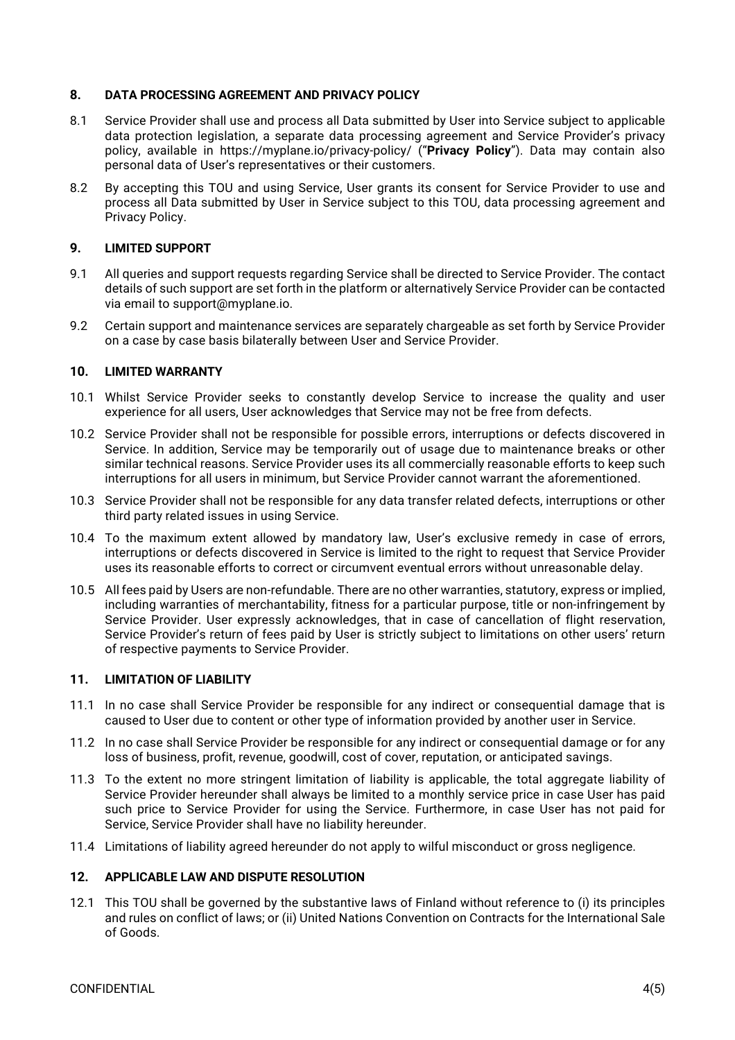## **8. DATA PROCESSING AGREEMENT AND PRIVACY POLICY**

- 8.1 Service Provider shall use and process all Data submitted by User into Service subject to applicable data protection legislation, a separate data processing agreement and Service Provider's privacy policy, available in https://myplane.io/privacy-policy/ ("**Privacy Policy**"). Data may contain also personal data of User's representatives or their customers.
- 8.2 By accepting this TOU and using Service, User grants its consent for Service Provider to use and process all Data submitted by User in Service subject to this TOU, data processing agreement and Privacy Policy.

#### **9. LIMITED SUPPORT**

- 9.1 All queries and support requests regarding Service shall be directed to Service Provider. The contact details of such support are set forth in the platform or alternatively Service Provider can be contacted via email to support@myplane.io.
- 9.2 Certain support and maintenance services are separately chargeable as set forth by Service Provider on a case by case basis bilaterally between User and Service Provider.

#### **10. LIMITED WARRANTY**

- 10.1 Whilst Service Provider seeks to constantly develop Service to increase the quality and user experience for all users, User acknowledges that Service may not be free from defects.
- 10.2 Service Provider shall not be responsible for possible errors, interruptions or defects discovered in Service. In addition, Service may be temporarily out of usage due to maintenance breaks or other similar technical reasons. Service Provider uses its all commercially reasonable efforts to keep such interruptions for all users in minimum, but Service Provider cannot warrant the aforementioned.
- 10.3 Service Provider shall not be responsible for any data transfer related defects, interruptions or other third party related issues in using Service.
- 10.4 To the maximum extent allowed by mandatory law, User's exclusive remedy in case of errors, interruptions or defects discovered in Service is limited to the right to request that Service Provider uses its reasonable efforts to correct or circumvent eventual errors without unreasonable delay.
- 10.5 All fees paid by Users are non-refundable. There are no other warranties, statutory, express or implied, including warranties of merchantability, fitness for a particular purpose, title or non-infringement by Service Provider. User expressly acknowledges, that in case of cancellation of flight reservation, Service Provider's return of fees paid by User is strictly subject to limitations on other users' return of respective payments to Service Provider.

## **11. LIMITATION OF LIABILITY**

- 11.1 In no case shall Service Provider be responsible for any indirect or consequential damage that is caused to User due to content or other type of information provided by another user in Service.
- 11.2 In no case shall Service Provider be responsible for any indirect or consequential damage or for any loss of business, profit, revenue, goodwill, cost of cover, reputation, or anticipated savings.
- 11.3 To the extent no more stringent limitation of liability is applicable, the total aggregate liability of Service Provider hereunder shall always be limited to a monthly service price in case User has paid such price to Service Provider for using the Service. Furthermore, in case User has not paid for Service, Service Provider shall have no liability hereunder.
- 11.4 Limitations of liability agreed hereunder do not apply to wilful misconduct or gross negligence.

#### **12. APPLICABLE LAW AND DISPUTE RESOLUTION**

12.1 This TOU shall be governed by the substantive laws of Finland without reference to (i) its principles and rules on conflict of laws; or (ii) United Nations Convention on Contracts for the International Sale of Goods.